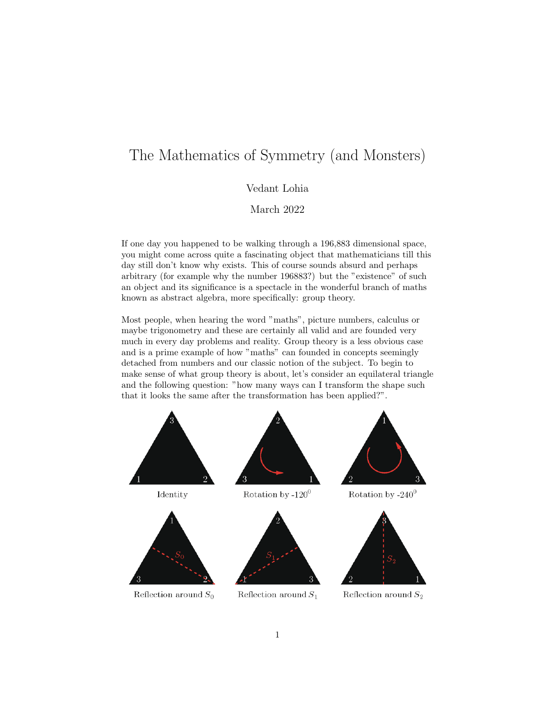## The Mathematics of Symmetry (and Monsters)

## Vedant Lohia

March 2022

If one day you happened to be walking through a 196,883 dimensional space, you might come across quite a fascinating object that mathematicians till this day still don't know why exists. This of course sounds absurd and perhaps arbitrary (for example why the number 196883?) but the "existence" of such an object and its significance is a spectacle in the wonderful branch of maths known as abstract algebra, more specifically: group theory.

Most people, when hearing the word "maths", picture numbers, calculus or maybe trigonometry and these are certainly all valid and are founded very much in every day problems and reality. Group theory is a less obvious case and is a prime example of how "maths" can founded in concepts seemingly detached from numbers and our classic notion of the subject. To begin to make sense of what group theory is about, let's consider an equilateral triangle and the following question: "how many ways can I transform the shape such that it looks the same after the transformation has been applied?".

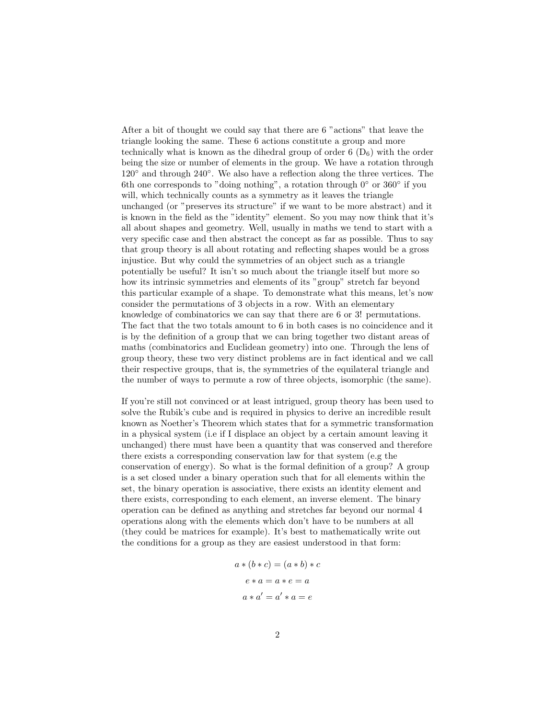After a bit of thought we could say that there are 6 "actions" that leave the triangle looking the same. These 6 actions constitute a group and more technically what is known as the dihedral group of order  $6(D_6)$  with the order being the size or number of elements in the group. We have a rotation through 120◦ and through 240◦ . We also have a reflection along the three vertices. The 6th one corresponds to "doing nothing", a rotation through  $0°$  or  $360°$  if you will, which technically counts as a symmetry as it leaves the triangle unchanged (or "preserves its structure" if we want to be more abstract) and it is known in the field as the "identity" element. So you may now think that it's all about shapes and geometry. Well, usually in maths we tend to start with a very specific case and then abstract the concept as far as possible. Thus to say that group theory is all about rotating and reflecting shapes would be a gross injustice. But why could the symmetries of an object such as a triangle potentially be useful? It isn't so much about the triangle itself but more so how its intrinsic symmetries and elements of its "group" stretch far beyond this particular example of a shape. To demonstrate what this means, let's now consider the permutations of 3 objects in a row. With an elementary knowledge of combinatorics we can say that there are 6 or 3! permutations. The fact that the two totals amount to 6 in both cases is no coincidence and it is by the definition of a group that we can bring together two distant areas of maths (combinatorics and Euclidean geometry) into one. Through the lens of group theory, these two very distinct problems are in fact identical and we call their respective groups, that is, the symmetries of the equilateral triangle and the number of ways to permute a row of three objects, isomorphic (the same).

If you're still not convinced or at least intrigued, group theory has been used to solve the Rubik's cube and is required in physics to derive an incredible result known as Noether's Theorem which states that for a symmetric transformation in a physical system (i.e if I displace an object by a certain amount leaving it unchanged) there must have been a quantity that was conserved and therefore there exists a corresponding conservation law for that system (e.g the conservation of energy). So what is the formal definition of a group? A group is a set closed under a binary operation such that for all elements within the set, the binary operation is associative, there exists an identity element and there exists, corresponding to each element, an inverse element. The binary operation can be defined as anything and stretches far beyond our normal 4 operations along with the elements which don't have to be numbers at all (they could be matrices for example). It's best to mathematically write out the conditions for a group as they are easiest understood in that form:

$$
a * (b * c) = (a * b) * c
$$

$$
e * a = a * e = a
$$

$$
a * a' = a' * a = e
$$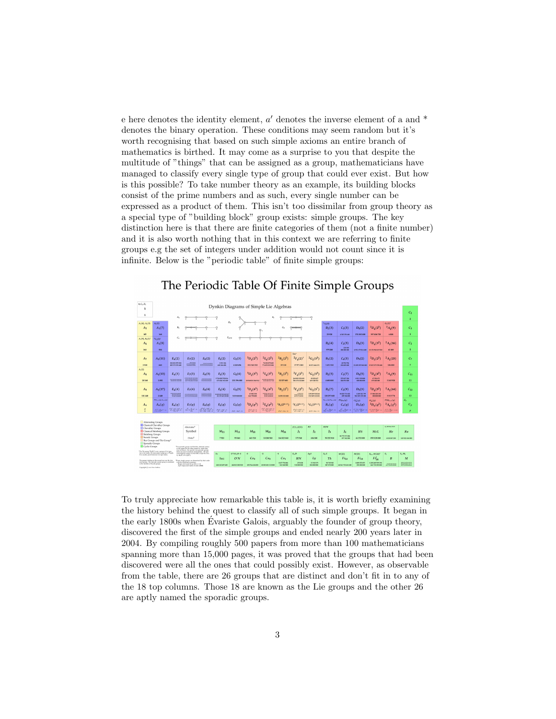e here denotes the identity element,  $a'$  denotes the inverse element of a and  $*$ denotes the binary operation. These conditions may seem random but it's worth recognising that based on such simple axioms an entire branch of mathematics is birthed. It may come as a surprise to you that despite the multitude of "things" that can be assigned as a group, mathematicians have managed to classify every single type of group that could ever exist. But how is this possible? To take number theory as an example, its building blocks consist of the prime numbers and as such, every single number can be expressed as a product of them. This isn't too dissimilar from group theory as a special type of "building block" group exists: simple groups. The key distinction here is that there are finite categories of them (not a finite number) and it is also worth nothing that in this context we are referring to finite groups e.g the set of integers under addition would not count since it is infinite. Below is the "periodic table" of finite simple groups:

| $0, C_1, Z_1$<br>$\mathbf{1}$                                                                                                                                             | Dynkin Diagrams of Simple Lie Algebras                                                                                                                                                                                                                                           |                                                                                |                                                                                                                                |              |                                              |                       |                     |                                         |                          |                                               |                         |                                                 |                                                 |                           |                                       |                                                                                                            |                                          |
|---------------------------------------------------------------------------------------------------------------------------------------------------------------------------|----------------------------------------------------------------------------------------------------------------------------------------------------------------------------------------------------------------------------------------------------------------------------------|--------------------------------------------------------------------------------|--------------------------------------------------------------------------------------------------------------------------------|--------------|----------------------------------------------|-----------------------|---------------------|-----------------------------------------|--------------------------|-----------------------------------------------|-------------------------|-------------------------------------------------|-------------------------------------------------|---------------------------|---------------------------------------|------------------------------------------------------------------------------------------------------------|------------------------------------------|
| $\mathbf{1}$                                                                                                                                                              | r.<br>л.<br>۰O                                                                                                                                                                                                                                                                   |                                                                                |                                                                                                                                |              |                                              |                       |                     |                                         |                          |                                               |                         |                                                 |                                                 |                           |                                       | C <sub>2</sub>                                                                                             |                                          |
|                                                                                                                                                                           |                                                                                                                                                                                                                                                                                  |                                                                                |                                                                                                                                |              | $D_n$                                        |                       |                     | -0                                      |                          |                                               |                         |                                                 |                                                 |                           |                                       |                                                                                                            | $\overline{2}$                           |
| $A_1(4), A_1(5)$                                                                                                                                                          | A <sub>2</sub>                                                                                                                                                                                                                                                                   | n                                                                              |                                                                                                                                |              | -0                                           | d                     |                     |                                         |                          |                                               |                         | $A_{4}(4)$                                      |                                                 |                           |                                       | $G_{2}(2)^{s}$                                                                                             |                                          |
| A <sub>5</sub>                                                                                                                                                            | $A_1(7)$                                                                                                                                                                                                                                                                         |                                                                                |                                                                                                                                |              |                                              |                       |                     | ó                                       | $G_2$                    |                                               |                         | B <sub>2</sub> (3)                              | $C_3(3)$                                        | $D_4(2)$                  | ${}^{2}D_{4}(2^{2})$                  | $^{2}A_{2}(9)$                                                                                             | $C_3$                                    |
| 60                                                                                                                                                                        | 168                                                                                                                                                                                                                                                                              |                                                                                |                                                                                                                                |              |                                              |                       |                     |                                         |                          |                                               |                         | 25920                                           | 4 565 351 660                                   | 174 182 400               | 197 406 720                           | 6045                                                                                                       | $\overline{\mathbf{3}}$                  |
| $A_1(9), B_2(2)$                                                                                                                                                          | ${}^{2}G_{2}(3)'$                                                                                                                                                                                                                                                                |                                                                                |                                                                                                                                |              | o                                            | $E_{6.7.8}$           |                     |                                         |                          |                                               |                         |                                                 |                                                 |                           |                                       |                                                                                                            |                                          |
| A <sub>6</sub>                                                                                                                                                            | $A_1(8)$                                                                                                                                                                                                                                                                         |                                                                                |                                                                                                                                |              |                                              |                       |                     |                                         |                          |                                               |                         | $B_{2}(4)$                                      | $C_3(5)$                                        | $D_4(3)$                  | $^{2}D_{4}(3^{2}$                     | $^{2}A_{2}(16)$                                                                                            | $C_5$                                    |
|                                                                                                                                                                           |                                                                                                                                                                                                                                                                                  | 225 501<br>504<br>979200<br>62400<br>000000000<br>4952179314400 10151946409520 |                                                                                                                                |              |                                              |                       |                     |                                         |                          |                                               |                         |                                                 | 5                                               |                           |                                       |                                                                                                            |                                          |
| 360                                                                                                                                                                       |                                                                                                                                                                                                                                                                                  |                                                                                |                                                                                                                                |              |                                              |                       |                     |                                         |                          | Tits*                                         |                         |                                                 |                                                 |                           |                                       |                                                                                                            |                                          |
|                                                                                                                                                                           | $A_1(11)$                                                                                                                                                                                                                                                                        | $E_6(2)$                                                                       | $E_7(2)$                                                                                                                       |              | $F_4(2)$                                     | $G_{2}(3)$            | ${}^{3}D_{a}(2^{3}$ | ${}^{2}E_{6}(2^{2})$                    | ${}^{2}B_{2}(2^{3}$      |                                               | ${}^{2}G_{2}(3^{3})$    | $B_3(2)$                                        | $C_{4}(3)$                                      | $D_5(2)$                  | ${}^{2}D_{n}$ (2 <sup>2</sup>         | $^{2}A_{2}(25)$                                                                                            | $C_7$                                    |
| A <sub>7</sub>                                                                                                                                                            |                                                                                                                                                                                                                                                                                  | 214 541 575 522                                                                |                                                                                                                                | $E_8(2)$     | 3011126                                      |                       |                     | 76 \$32 479 663                         |                          | ${}^{2}F_{4}(2)$                              |                         |                                                 | 65764756                                        |                           |                                       |                                                                                                            |                                          |
| 2520                                                                                                                                                                      | 660                                                                                                                                                                                                                                                                              | 005 975 270 800                                                                | $\begin{array}{c} 14747404 \\ 0134783964 \\ 0148479546 \end{array}$                                                            |              | 683,966,630                                  | 4245696               | 211341312           | 774,853,999,208                         | 29120                    | 17971200                                      | 33 073 444 072          | 1451520                                         | 651 089 600                                     |                           | 23 499 295 605 800 25 005 379 558 000 | 126,000                                                                                                    | $\overline{\tau}$                        |
| $A_3(2)$                                                                                                                                                                  |                                                                                                                                                                                                                                                                                  |                                                                                |                                                                                                                                |              |                                              |                       |                     |                                         |                          |                                               |                         |                                                 |                                                 |                           |                                       |                                                                                                            |                                          |
| As                                                                                                                                                                        | $A_1(13)$                                                                                                                                                                                                                                                                        | $E_6(3)$                                                                       | $E_7(3)$                                                                                                                       | $E_8(3)$     | $F_4(3)$                                     | $G_{2}(4)$            | ${}^{3}D_{4}(3)$    | ${}^{2}E_{6}(3^{2}$                     | ${}^{2}B_{2}(2^{3})$     | ${}^{2}F_{4}(2^{3}$                           | ${}^{2}G_{2}(3^{5})$    | $B_{2}(5)$                                      | $C_3(7)$                                        | $D_4(5)$                  | ${}^{2}D_{a}(4^{2})$                  | $^{2}A_{3}(9)$                                                                                             | $C_{11}$                                 |
| 20160                                                                                                                                                                     | 1.092                                                                                                                                                                                                                                                                            | TOTTO NEWS RED                                                                 | протененности<br><b>COUNTER ES MODERN</b>                                                                                      |              | 5734 420792516<br>671504761600               | 251 596 800           | 20 560 831 566 912  | <b>SUNDERMORE</b>                       | 32.537600                | 264 905 352 699<br>556 176 614 830            | 49925657<br>439343552   | 4650,000                                        | 273-857.216<br>604 953 600                      | \$911509000<br>000000.000 | 67536471<br>195608000                 | 3265920                                                                                                    | 11                                       |
|                                                                                                                                                                           |                                                                                                                                                                                                                                                                                  |                                                                                |                                                                                                                                |              |                                              |                       |                     |                                         |                          |                                               |                         |                                                 |                                                 |                           |                                       |                                                                                                            |                                          |
| Ao                                                                                                                                                                        | $A_1(17)$                                                                                                                                                                                                                                                                        | $E_6(4)$                                                                       | $E_7(4)$                                                                                                                       | $E_8(4)$     | $F_4(4)$                                     | $G_{2}(5)$            | ${}^{3}D_{4}(4^{3}$ | $E_6(4^2)$                              | ${}^{2}B_{2}(2)$         | ${}^{2}F_{4}(2^{5}$                           | ${}^{2}G_{2}(3^{7})$    | B <sub>2</sub> (7)                              | $C_1(9)$                                        | D <sub>5</sub> (3)        | ${}^{2}D_{4}(5^{2})$                  | $^{2}A_{2}(64)$                                                                                            | $C_{13}$                                 |
|                                                                                                                                                                           |                                                                                                                                                                                                                                                                                  | ивскопы                                                                        |                                                                                                                                |              |                                              |                       | 67802350            | <b>Mexican district</b>                 |                          | <b>LEASE(A)</b>                               | 234199910264            |                                                 | 54025731432                                     | 1269512799                | 17860203250                           |                                                                                                            |                                          |
| 181 440                                                                                                                                                                   | 2449                                                                                                                                                                                                                                                                             | <b>ICAD-CHEIC</b>                                                              | ---- <del>----</del> --                                                                                                        | HEE          | FROM APE ON SAFEKEEP<br>AND DRO GAN KING BOW | 3.835000.000          | 642790400           | <b>BERRITI REB</b><br><b>READJACOEM</b> | 34 093 383 680           | <b>WEREAFTEN</b><br><b>NOV'NE TIE berater</b> | 352349332632            | 138297600                                       | 499 584 000                                     | 941-505139-200            | 00000000                              | 5515776                                                                                                    | 13                                       |
|                                                                                                                                                                           | PHarolet-Lauriet                                                                                                                                                                                                                                                                 |                                                                                |                                                                                                                                |              |                                              |                       |                     |                                         |                          |                                               |                         | $O_{2n+1}(q), O_{2n+1}(q)$                      | $PSp_{2n}(q)$                                   | $O_{\infty}^{+}(q)$       | $O_{\infty}^{\perp}(q)$               | $PSU_{n+1}(q)$                                                                                             | z,                                       |
| $A_N$                                                                                                                                                                     | $A_n(q)$                                                                                                                                                                                                                                                                         | $E_6(q)$                                                                       | $E_7(q)$                                                                                                                       | $E_8(q)$     | $F_4(q)$                                     | $G_2(q)$              | ${}^3D_4(q^3)$      | ${}^{2}E_{6}(q^{2})$                    | ${}^{2}B_{2}(2^{2n+1})$  | ${}^{2}F_{4}(2^{2n+1})$                       | ${}^{2}G_{2}(3^{2n+1})$ | $B_n(q)$                                        | $C_n(q)$                                        | $D_n(q)$                  | ${}^{2}D_{n}(q^{2})$                  | ${}^2A_n(q^2)$                                                                                             | $C_n$                                    |
| <b>A</b><br>$\overline{\phantom{a}}$                                                                                                                                      | <b>Completion</b>                                                                                                                                                                                                                                                                | <b>COMPANY</b>                                                                 | $\frac{1}{(1-\alpha)}$                                                                                                         | $-100 - 100$ | <b>COLLECTION</b>                            | $P(x^2 - 1)(x^2 - 1)$ | 25.5.8              | <u>an an an</u>                         | $e^{i\theta} + 10e - 10$ | $25 + 10e - 0$                                | $e^{i(x^2+2t(x-1))}$    | $\frac{e^{x}}{(4e-6)}\prod_{i=1}^{n} (e^{x}-1)$ | $\frac{e^{x}}{(1-e^{-x})^{\frac{1}{2}(x^2-1)}}$ | <b>Second</b>             | <b>See like</b>                       | $\frac{\partial \mathcal{L}_{\text{max}}}{\partial \mathcal{L}_{\text{max}}} \prod_{i=1}^{m} (q^i-1-iq^i)$ | $\mathbf{p}$                             |
|                                                                                                                                                                           |                                                                                                                                                                                                                                                                                  |                                                                                |                                                                                                                                |              |                                              |                       |                     |                                         |                          |                                               |                         |                                                 |                                                 |                           |                                       |                                                                                                            |                                          |
|                                                                                                                                                                           |                                                                                                                                                                                                                                                                                  |                                                                                |                                                                                                                                |              |                                              |                       |                     |                                         |                          |                                               |                         |                                                 |                                                 |                           |                                       |                                                                                                            |                                          |
| Alternating Groups                                                                                                                                                        |                                                                                                                                                                                                                                                                                  |                                                                                |                                                                                                                                |              |                                              |                       |                     |                                         |                          |                                               |                         |                                                 |                                                 |                           |                                       |                                                                                                            |                                          |
| Classical Chevalley Groups<br>Alternated <sup>*</sup><br>Chevalley Groups                                                                                                 |                                                                                                                                                                                                                                                                                  |                                                                                |                                                                                                                                |              |                                              |                       |                     |                                         |                          | I(1), I(11)                                   | HI                      | <b>HIM</b>                                      |                                                 |                           |                                       | A, 88 M, 87 H                                                                                              |                                          |
| Classical Steinberg Groups                                                                                                                                                |                                                                                                                                                                                                                                                                                  |                                                                                | Symbol                                                                                                                         |              | $M_{11}$                                     | $M_{12}$              | $M_{22}$            | $M_{23}$                                | $M_{24}$                 | h                                             | I <sub>2</sub>          | $_{13}$                                         | I4                                              | HS                        | McL                                   | He                                                                                                         | Ru                                       |
| Steinberg Groups<br>Suzuki Groups                                                                                                                                         |                                                                                                                                                                                                                                                                                  |                                                                                | Order <sup>1</sup>                                                                                                             |              | 7920                                         | 95040                 | 443 520             | 10200560                                | 244823040                | 175.560                                       | 604 800                 | 50 232 960                                      | 86.775.971.006                                  | 44352000                  | 898 128 000                           |                                                                                                            |                                          |
|                                                                                                                                                                           | Ree Groups and Tits Group*                                                                                                                                                                                                                                                       |                                                                                |                                                                                                                                |              |                                              |                       |                     |                                         |                          |                                               |                         | 077 562 880                                     |                                                 |                           | 4 030 387 280                         | 145526144000                                                                                               |                                          |
|                                                                                                                                                                           | Sporadic Groups<br>Cyclic Groups<br>"For sportdic groups and families, alternate names                                                                                                                                                                                           |                                                                                |                                                                                                                                |              |                                              |                       |                     |                                         |                          |                                               |                         |                                                 |                                                 |                           |                                       |                                                                                                            |                                          |
| in the upper left are other names by which they<br>may be known. For specific non-spenalic groups                                                                         |                                                                                                                                                                                                                                                                                  |                                                                                |                                                                                                                                |              |                                              |                       |                     |                                         |                          |                                               |                         |                                                 |                                                 |                           |                                       |                                                                                                            |                                          |
| "The Tits group "F <sub>A</sub> (I)" is not a group of Lie type<br>but is the lindex II commutator subgroup of $^2F_4(3)$<br>It is usually given howcomy Lie type status. |                                                                                                                                                                                                                                                                                  |                                                                                | these are used to indicate isomorphina. All such<br>isomorphisms appear on the table escept the farm-<br>its BLOP's It C2(P*). |              | $S_{\mathcal{X}}$                            | $O'NS, O-S$           | $\mathbf{A}$        | $\overline{a}$                          | ×.                       | $F_2$ . $D$                                   | LyS                     | $F_{\infty}E$                                   | M(22)                                           | M(23)                     | $F_{1+}$ , $M(24)^{t}$                | $F_2$                                                                                                      | $F_1, M_1$                               |
|                                                                                                                                                                           |                                                                                                                                                                                                                                                                                  |                                                                                | Suz                                                                                                                            | O'N          | Co <sub>x</sub>                              | Co <sub>2</sub>       | Co1                 | HN                                      | Lu                       | T <sub>h</sub>                                | $Fi_{22}$               | $Fi_{23}$                                       | $Fi'_{24}$                                      | B                         | $\boldsymbol{M}$                      |                                                                                                            |                                          |
|                                                                                                                                                                           | The groups sturling on the second new ans the clas-<br>Vinite simple groups are determined by their order<br>sical groups. The sporadic sunski group is annulated<br>with the following exceptions:<br>to the families of Sunski groups.<br>R.L.C. and C., (q) for q odd, a > 2; |                                                                                |                                                                                                                                |              | 448 545 497 680                              |                       |                     |                                         | 4197776806               | 273 838                                       | 51765179                | 90745943                                        |                                                 | 1009120-073               | 1255205709190                         | <b>A RA DE ANTIGATA</b>                                                                                    | <b>SERVICERS</b><br>me die Morre z To CC |
|                                                                                                                                                                           |                                                                                                                                                                                                                                                                                  |                                                                                | $A_0 \cong A_2(1)$ and $A_2(1)$ of order 20163.                                                                                |              |                                              | 460-815 505 930       | 495766656000        | 42.585 421.512.000                      | 543 368 000              | 912080308                                     | 004 000 000             | 887872800                                       | 64561751654400                                  | 293-004 800               | 661721292800                          |                                                                                                            | er te baute de be                        |

## The Periodic Table Of Finite Simple Groups

To truly appreciate how remarkable this table is, it is worth briefly examining the history behind the quest to classify all of such simple groups. It began in the early 1800s when Evariste Galois, arguably the founder of group theory, ´ discovered the first of the simple groups and ended nearly 200 years later in 2004. By compiling roughly 500 papers from more than 100 mathematicians spanning more than 15,000 pages, it was proved that the groups that had been discovered were all the ones that could possibly exist. However, as observable from the table, there are 26 groups that are distinct and don't fit in to any of the 18 top columns. Those 18 are known as the Lie groups and the other 26 are aptly named the sporadic groups.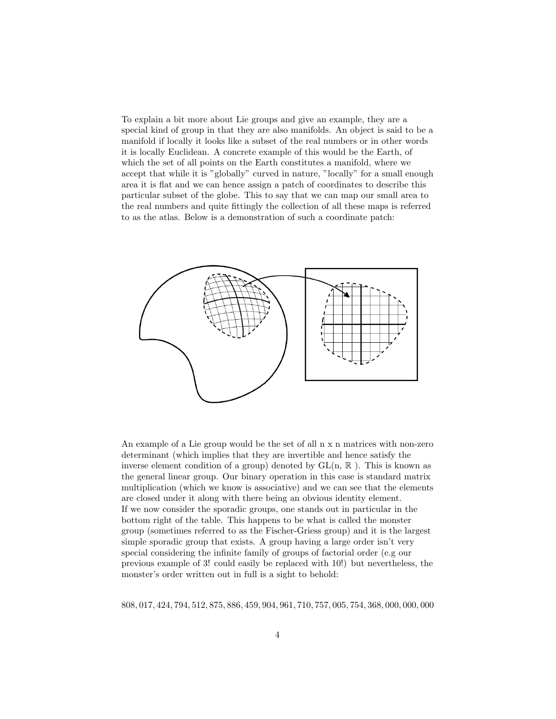To explain a bit more about Lie groups and give an example, they are a special kind of group in that they are also manifolds. An object is said to be a manifold if locally it looks like a subset of the real numbers or in other words it is locally Euclidean. A concrete example of this would be the Earth, of which the set of all points on the Earth constitutes a manifold, where we accept that while it is "globally" curved in nature, "locally" for a small enough area it is flat and we can hence assign a patch of coordinates to describe this particular subset of the globe. This to say that we can map our small area to the real numbers and quite fittingly the collection of all these maps is referred to as the atlas. Below is a demonstration of such a coordinate patch:



An example of a Lie group would be the set of all n x n matrices with non-zero determinant (which implies that they are invertible and hence satisfy the inverse element condition of a group) denoted by  $GL(n, \mathbb{R})$ . This is known as the general linear group. Our binary operation in this case is standard matrix multiplication (which we know is associative) and we can see that the elements are closed under it along with there being an obvious identity element. If we now consider the sporadic groups, one stands out in particular in the bottom right of the table. This happens to be what is called the monster group (sometimes referred to as the Fischer-Griess group) and it is the largest simple sporadic group that exists. A group having a large order isn't very special considering the infinite family of groups of factorial order (e.g our previous example of 3! could easily be replaced with 10!) but nevertheless, the monster's order written out in full is a sight to behold:

808, 017, 424, 794, 512, 875, 886, 459, 904, 961, 710, 757, 005, 754, 368, 000, 000, 000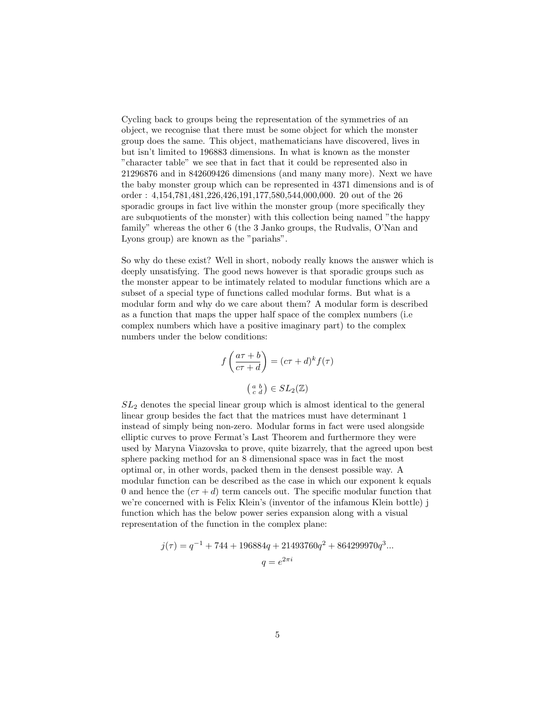Cycling back to groups being the representation of the symmetries of an object, we recognise that there must be some object for which the monster group does the same. This object, mathematicians have discovered, lives in but isn't limited to 196883 dimensions. In what is known as the monster "character table" we see that in fact that it could be represented also in 21296876 and in 842609426 dimensions (and many many more). Next we have the baby monster group which can be represented in 4371 dimensions and is of order : 4,154,781,481,226,426,191,177,580,544,000,000. 20 out of the 26 sporadic groups in fact live within the monster group (more specifically they are subquotients of the monster) with this collection being named "the happy family" whereas the other 6 (the 3 Janko groups, the Rudvalis, O'Nan and Lyons group) are known as the "pariahs".

So why do these exist? Well in short, nobody really knows the answer which is deeply unsatisfying. The good news however is that sporadic groups such as the monster appear to be intimately related to modular functions which are a subset of a special type of functions called modular forms. But what is a modular form and why do we care about them? A modular form is described as a function that maps the upper half space of the complex numbers (i.e complex numbers which have a positive imaginary part) to the complex numbers under the below conditions:

$$
f\left(\frac{a\tau+b}{c\tau+d}\right) = (c\tau+d)^k f(\tau)
$$

$$
\begin{pmatrix} a & b \\ c & d \end{pmatrix} \in SL_2(\mathbb{Z})
$$

 $SL<sub>2</sub>$  denotes the special linear group which is almost identical to the general linear group besides the fact that the matrices must have determinant 1 instead of simply being non-zero. Modular forms in fact were used alongside elliptic curves to prove Fermat's Last Theorem and furthermore they were used by Maryna Viazovska to prove, quite bizarrely, that the agreed upon best sphere packing method for an 8 dimensional space was in fact the most optimal or, in other words, packed them in the densest possible way. A modular function can be described as the case in which our exponent k equals 0 and hence the  $(c\tau + d)$  term cancels out. The specific modular function that we're concerned with is Felix Klein's (inventor of the infamous Klein bottle) j function which has the below power series expansion along with a visual representation of the function in the complex plane:

$$
j(\tau) = q^{-1} + 744 + 196884q + 21493760q^{2} + 864299970q^{3}...
$$
  

$$
q = e^{2\pi i}
$$